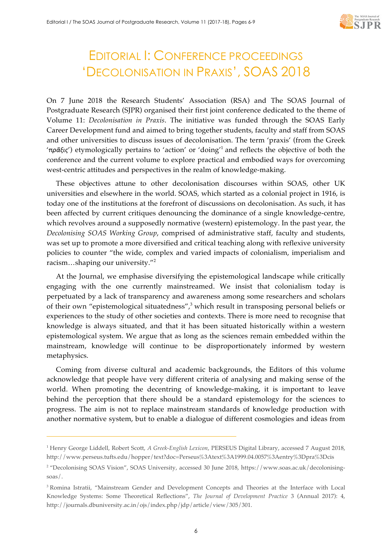

## EDITORIAL I: CONFERENCE PROCEEDINGS 'DECOLONISATION IN PRAXIS', SOAS 2018

On 7 June 2018 the Research Students' Association (RSA) and The SOAS Journal of Postgraduate Research (SJPR) organised their first joint conference dedicated to the theme of Volume 11: *Decolonisation in Praxis*. The initiative was funded through the SOAS Early Career Development fund and aimed to bring together students, faculty and staff from SOAS and other universities to discuss issues of decolonisation. The term 'praxis' (from the Greek '*πρᾶξις*') etymologically pertains to 'action' or 'doing'<sup>1</sup> and reflects the objective of both the conference and the current volume to explore practical and embodied ways for overcoming west-centric attitudes and perspectives in the realm of knowledge-making.

These objectives attune to other decolonisation discourses within SOAS, other UK universities and elsewhere in the world. SOAS, which started as a colonial project in 1916, is today one of the institutions at the forefront of discussions on decolonisation. As such, it has been affected by current critiques denouncing the dominance of a single knowledge-centre, which revolves around a supposedly normative (western) epistemology. In the past year, the *Decolonising SOAS Working Group*, comprised of administrative staff, faculty and students, was set up to promote a more diversified and critical teaching along with reflexive university policies to counter "the wide, complex and varied impacts of colonialism, imperialism and racism…shaping our university."<sup>2</sup>

At the Journal, we emphasise diversifying the epistemological landscape while critically engaging with the one currently mainstreamed. We insist that colonialism today is perpetuated by a lack of transparency and awareness among some researchers and scholars of their own "epistemological situatedness", <sup>3</sup> which result in transposing personal beliefs or experiences to the study of other societies and contexts. There is more need to recognise that knowledge is always situated, and that it has been situated historically within a western epistemological system. We argue that as long as the sciences remain embedded within the mainstream, knowledge will continue to be disproportionately informed by western metaphysics.

Coming from diverse cultural and academic backgrounds, the Editors of this volume acknowledge that people have very different criteria of analysing and making sense of the world. When promoting the decentring of knowledge-making, it is important to leave behind the perception that there should be a standard epistemology for the sciences to progress. The aim is not to replace mainstream standards of knowledge production with another normative system, but to enable a dialogue of different cosmologies and ideas from

j

<sup>1</sup> Henry George Liddell, Robert Scott, *A Greek-English Lexicon*, PERSEUS Digital Library, accessed 7 August 2018, http://www.perseus.tufts.edu/hopper/text?doc=Perseus%3Atext%3A1999.04.0057%3Aentry%3Dpra%3Dcis

<sup>2</sup> "Decolonising SOAS Vision", SOAS University, accessed 30 June 2018, https://www.soas.ac.uk/decolonisingsoas/.

<sup>3</sup> Romina Istratii, "Mainstream Gender and Development Concepts and Theories at the Interface with Local Knowledge Systems: Some Theoretical Reflections", *The Journal of Development Practice* 3 (Annual 2017): 4, http://journals.dbuniversity.ac.in/ojs/index.php/jdp/article/view/305/301.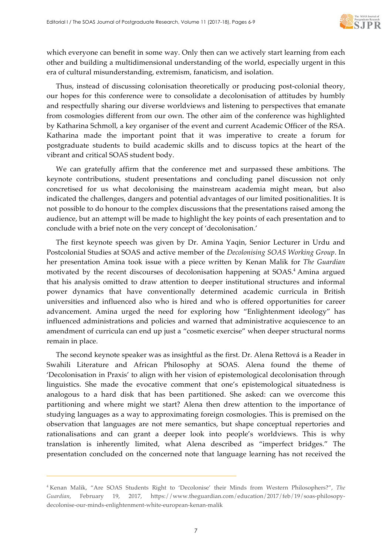

which everyone can benefit in some way. Only then can we actively start learning from each other and building a multidimensional understanding of the world, especially urgent in this era of cultural misunderstanding, extremism, fanaticism, and isolation.

Thus, instead of discussing colonisation theoretically or producing post-colonial theory, our hopes for this conference were to consolidate a decolonisation of attitudes by humbly and respectfully sharing our diverse worldviews and listening to perspectives that emanate from cosmologies different from our own. The other aim of the conference was highlighted by Katharina Schmoll, a key organiser of the event and current Academic Officer of the RSA. Katharina made the important point that it was imperative to create a forum for postgraduate students to build academic skills and to discuss topics at the heart of the vibrant and critical SOAS student body.

We can gratefully affirm that the conference met and surpassed these ambitions. The keynote contributions, student presentations and concluding panel discussion not only concretised for us what decolonising the mainstream academia might mean, but also indicated the challenges, dangers and potential advantages of our limited positionalities. It is not possible to do honour to the complex discussions that the presentations raised among the audience, but an attempt will be made to highlight the key points of each presentation and to conclude with a brief note on the very concept of 'decolonisation.'

The first keynote speech was given by Dr. Amina Yaqin, Senior Lecturer in Urdu and Postcolonial Studies at SOAS and active member of the *Decolonising SOAS Working Group*. In her presentation Amina took issue with a piece written by Kenan Malik for *The Guardian* motivated by the recent discourses of decolonisation happening at SOAS.4 Amina argued that his analysis omitted to draw attention to deeper institutional structures and informal power dynamics that have conventionally determined academic curricula in British universities and influenced also who is hired and who is offered opportunities for career advancement. Amina urged the need for exploring how "Enlightenment ideology" has influenced administrations and policies and warned that administrative acquiescence to an amendment of curricula can end up just a "cosmetic exercise" when deeper structural norms remain in place.

The second keynote speaker was as insightful as the first. Dr. Alena Rettová is a Reader in Swahili Literature and African Philosophy at SOAS. Alena found the theme of 'Decolonisation in Praxis' to align with her vision of epistemological decolonisation through linguistics. She made the evocative comment that one's epistemological situatedness is analogous to a hard disk that has been partitioned. She asked: can we overcome this partitioning and where might we start? Alena then drew attention to the importance of studying languages as a way to approximating foreign cosmologies. This is premised on the observation that languages are not mere semantics, but shape conceptual repertories and rationalisations and can grant a deeper look into people's worldviews. This is why translation is inherently limited, what Alena described as "imperfect bridges." The presentation concluded on the concerned note that language learning has not received the

 $\overline{a}$ 

<sup>4</sup> Kenan Malik, "Are SOAS Students Right to 'Decolonise' their Minds from Western Philosophers?", *The Guardian*, February 19, 2017, https://www.theguardian.com/education/2017/feb/19/soas-philosopydecolonise-our-minds-enlightenment-white-european-kenan-malik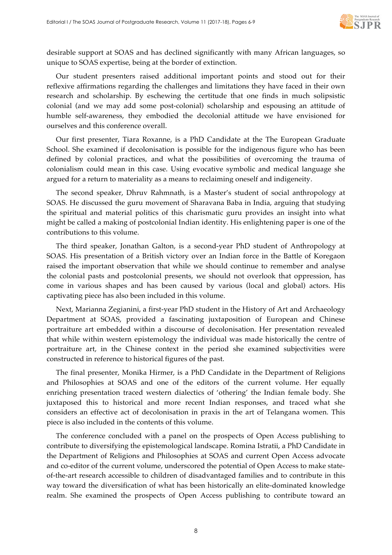

desirable support at SOAS and has declined significantly with many African languages, so unique to SOAS expertise, being at the border of extinction.

Our student presenters raised additional important points and stood out for their reflexive affirmations regarding the challenges and limitations they have faced in their own research and scholarship. By eschewing the certitude that one finds in much solipsistic colonial (and we may add some post-colonial) scholarship and espousing an attitude of humble self-awareness, they embodied the decolonial attitude we have envisioned for ourselves and this conference overall.

Our first presenter, Tiara Roxanne, is a PhD Candidate at the The European Graduate School. She examined if decolonisation is possible for the indigenous figure who has been defined by colonial practices, and what the possibilities of overcoming the trauma of colonialism could mean in this case. Using evocative symbolic and medical language she argued for a return to materiality as a means to reclaiming oneself and indigeneity.

The second speaker, Dhruv Rahmnath, is a Master's student of social anthropology at SOAS. He discussed the guru movement of Sharavana Baba in India, arguing that studying the spiritual and material politics of this charismatic guru provides an insight into what might be called a making of postcolonial Indian identity. His enlightening paper is one of the contributions to this volume.

The third speaker, Jonathan Galton, is a second-year PhD student of Anthropology at SOAS. His presentation of a British victory over an Indian force in the Battle of Koregaon raised the important observation that while we should continue to remember and analyse the colonial pasts and postcolonial presents, we should not overlook that oppression, has come in various shapes and has been caused by various (local and global) actors. His captivating piece has also been included in this volume.

Next, Marianna Zegianini, a first-year PhD student in the History of Art and Archaeology Department at SOAS, provided a fascinating juxtaposition of European and Chinese portraiture art embedded within a discourse of decolonisation. Her presentation revealed that while within western epistemology the individual was made historically the centre of portraiture art, in the Chinese context in the period she examined subjectivities were constructed in reference to historical figures of the past.

The final presenter, Monika Hirmer, is a PhD Candidate in the Department of Religions and Philosophies at SOAS and one of the editors of the current volume. Her equally enriching presentation traced western dialectics of 'othering' the Indian female body. She juxtaposed this to historical and more recent Indian responses, and traced what she considers an effective act of decolonisation in praxis in the art of Telangana women. This piece is also included in the contents of this volume.

The conference concluded with a panel on the prospects of Open Access publishing to contribute to diversifying the epistemological landscape. Romina Istratii, a PhD Candidate in the Department of Religions and Philosophies at SOAS and current Open Access advocate and co-editor of the current volume, underscored the potential of Open Access to make stateof-the-art research accessible to children of disadvantaged families and to contribute in this way toward the diversification of what has been historically an elite-dominated knowledge realm. She examined the prospects of Open Access publishing to contribute toward an